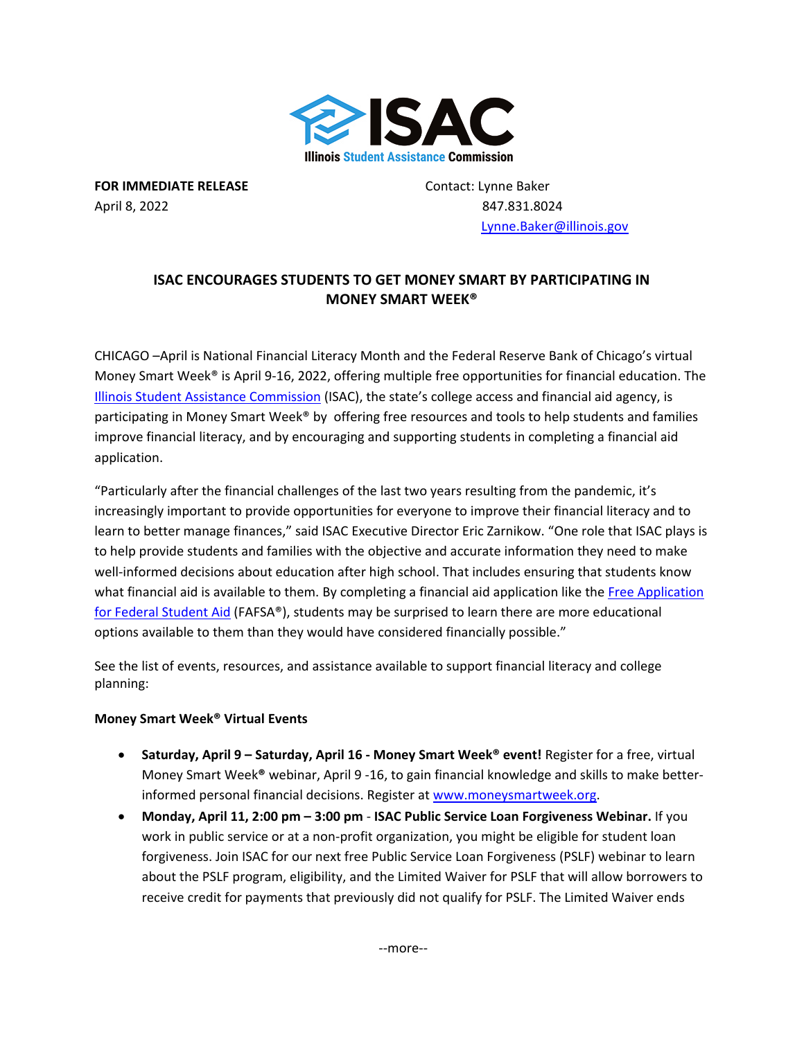

**FOR IMMEDIATE RELEASE** Contact: Lynne Baker April 8, 2022 847.831.8024

 [Lynne.Baker@illinois.gov](mailto:Lynne.Baker@illinois.gov)

## **ISAC ENCOURAGES STUDENTS TO GET MONEY SMART BY PARTICIPATING IN MONEY SMART WEEK®**

CHICAGO –April is National Financial Literacy Month and the Federal Reserve Bank of Chicago's virtual Money Smart Week® is April 9-16, 2022, offering multiple free opportunities for financial education. The [Illinois Student Assistance Commission](https://www.isac.org/) (ISAC), the state's college access and financial aid agency, is participating in Money Smart Week® by offering free resources and tools to help students and families improve financial literacy, and by encouraging and supporting students in completing a financial aid application.

"Particularly after the financial challenges of the last two years resulting from the pandemic, it's increasingly important to provide opportunities for everyone to improve their financial literacy and to learn to better manage finances," said ISAC Executive Director Eric Zarnikow. "One role that ISAC plays is to help provide students and families with the objective and accurate information they need to make well-informed decisions about education after high school. That includes ensuring that students know what financial aid is available to them. By completing a financial aid application like the [Free Application](https://studentaid.gov/h/apply-for-aid/fafsa)  [for Federal Student Aid](https://studentaid.gov/h/apply-for-aid/fafsa) (FAFSA®), students may be surprised to learn there are more educational options available to them than they would have considered financially possible."

See the list of events, resources, and assistance available to support financial literacy and college planning:

## **Money Smart Week® Virtual Events**

- **Saturday, April 9 Saturday, April 16 - Money Smart Week® event!** Register for a free, virtual Money Smart Week**®** webinar, April 9 -16, to gain financial knowledge and skills to make betterinformed personal financial decisions. Register at [www.moneysmartweek.org.](https://www.moneysmartweek.org/)
- **Monday, April 11, 2:00 pm 3:00 pm ISAC Public Service Loan Forgiveness Webinar.** If you work in public service or at a non-profit organization, you might be eligible for student loan forgiveness. Join ISAC for our next free Public Service Loan Forgiveness (PSLF) webinar to learn about the PSLF program, eligibility, and the Limited Waiver for PSLF that will allow borrowers to receive credit for payments that previously did not qualify for PSLF. The Limited Waiver ends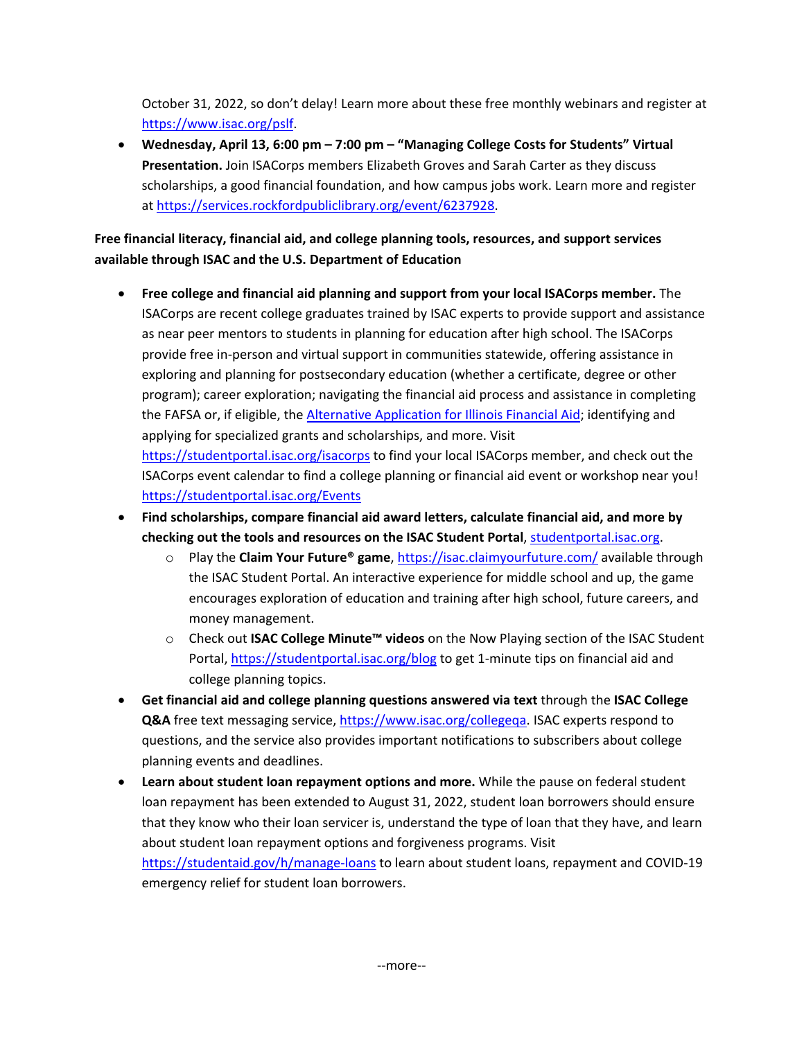October 31, 2022, so don't delay! Learn more about these free monthly webinars and register at [https://www.isac.org/pslf.](https://www.isac.org/pslf)

• **Wednesday, April 13, 6:00 pm – 7:00 pm – "Managing College Costs for Students" Virtual Presentation.** Join ISACorps members Elizabeth Groves and Sarah Carter as they discuss scholarships, a good financial foundation, and how campus jobs work. Learn more and register at [https://services.rockfordpubliclibrary.org/event/6237928.](https://services.rockfordpubliclibrary.org/event/6237928)

## **Free financial literacy, financial aid, and college planning tools, resources, and support services available through ISAC and the U.S. Department of Education**

- **Free college and financial aid planning and support from your local ISACorps member.** The ISACorps are recent college graduates trained by ISAC experts to provide support and assistance as near peer mentors to students in planning for education after high school. The ISACorps provide free in-person and virtual support in communities statewide, offering assistance in exploring and planning for postsecondary education (whether a certificate, degree or other program); career exploration; navigating the financial aid process and assistance in completing the FAFSA or, if eligible, th[e Alternative Application for Illinois Financial Aid;](https://www.isac.org/AlternativeApp) identifying and applying for specialized grants and scholarships, and more. Visit <https://studentportal.isac.org/isacorps> to find your local ISACorps member, and check out the ISACorps event calendar to find a college planning or financial aid event or workshop near you! <https://studentportal.isac.org/Events>
- **Find scholarships, compare financial aid award letters, calculate financial aid, and more by checking out the tools and resources on the ISAC Student Portal**, [studentportal.isac.org.](https://studentportal.isac.org/)
	- o Play the **Claim Your Future® game**,<https://isac.claimyourfuture.com/> available through the ISAC Student Portal. An interactive experience for middle school and up, the game encourages exploration of education and training after high school, future careers, and money management.
	- o Check out **ISAC College Minute™ videos** on the Now Playing section of the ISAC Student Portal, <https://studentportal.isac.org/blog> to get 1-minute tips on financial aid and college planning topics.
- **Get financial aid and college planning questions answered via text** through the **ISAC College Q&A** free text messaging service, [https://www.isac.org/collegeqa.](https://www.isac.org/collegeqa) ISAC experts respond to questions, and the service also provides important notifications to subscribers about college planning events and deadlines.
- **Learn about student loan repayment options and more.** While the pause on federal student loan repayment has been extended to August 31, 2022, student loan borrowers should ensure that they know who their loan servicer is, understand the type of loan that they have, and learn about student loan repayment options and forgiveness programs. Visit <https://studentaid.gov/h/manage-loans> to learn about student loans, repayment and COVID-19 emergency relief for student loan borrowers.